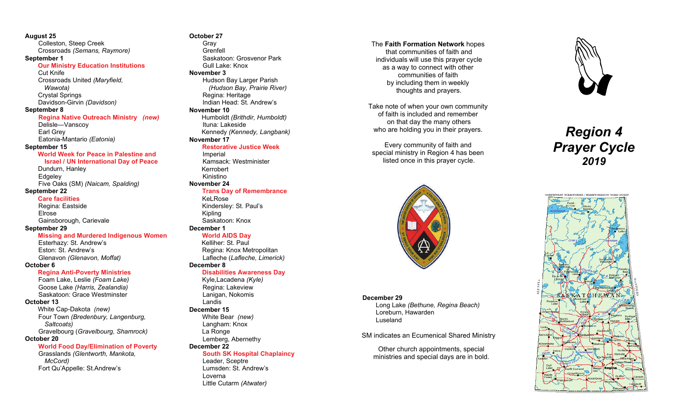**August 25**  Colleston, Steep Creek Crossroads *(Semans, Raymore)*  **September 1 Our Ministry Education Institutions**  Cut Knife Crossroads United *(Maryfield, Wawota)* Crystal Springs Davidson-Girvin *(Davidson)*  **September 8 Regina Native Outreach Ministry** *(new)* Delisle—Vanscoy Earl Grey Eatonia-Mantario *(Eatonia)*  **September 15 World Week for Peace in Palestine and Israel / UN International Day of Peace**  Dundurn, Hanley Edgeley Five Oaks (SM) *(Naicam, Spalding)*  **September 22 Care facilities**  Regina: Eastside Elrose Gainsborough, Carievale **September 29 Missing and Murdered Indigenous Women**  Esterhazy: St. Andrew's Eston: St. Andrew's Glenavon *(Glenavon, Moffat)*

#### **October 6**

#### **Regina Anti-Poverty Ministries**

 Foam Lake, Leslie *(Foam Lake)* Goose Lake *(Harris, Zealandia)* Saskatoon: Grace Westminster

#### **October 13**

White Cap-Dakota *(new)* Four Town *(Bredenbury, Langenburg, Saltcoats)* Gravelbourg (*Gravelbourg, Shamrock)* 

#### **October 20**

 **World Food Day/Elimination of Poverty** 

 Grasslands *(Glentworth, Mankota, McCord)* Fort Qu'Appelle: St.Andrew's

## **October 27**

 Gray Grenfell Saskatoon: Grosvenor Park Gull Lake: Knox **November 3**  Hudson Bay Larger Parish *(Hudson Bay, Prairie River)* Regina: Heritage Indian Head: St. Andrew's **November 10**  Humboldt *(Brithdir, Humboldt)* Ituna: Lakeside Kennedy *(Kennedy, Langbank)* **November 17 Restorative Justice Week** Imperial

 Kamsack: Westminister Kerrobert Kinistino **November 24** 

#### **Trans Day of Remembrance**

Kel Rose Kindersley: St. Paul's Kipling Saskatoon: Knox **December 1** 

#### **World AIDS Day**

 Kelliher: St. Paul Regina: Knox Metropolitan Lafleche (*Lafleche, Limerick)* **December 8** 

#### **Disabilities Awareness Day**

 Kyle,Lacadena *(Kyle)*  Regina: Lakeview Lanigan, Nokomis Landis **December 15**  White Bear *(new)* Langham: Knox La Ronge Lemberg, Abernethy **December 22** 

# **South SK Hospital Chaplaincy**

Leader, Sceptre Lumsden: St. Andrew's Loverna Little Cutarm *(Atwater)*

The **Faith Formation Network** hopes that communities of faith and individuals will use this prayer cycle as a way to connect with other communities of faith by including them in weekly thoughts and prayers.

Take note of when your own community of faith is included and remember on that day the many others who are holding you in their prayers.

Every community of faith and special ministry in Region 4 has been listed once in this prayer cycle.



#### **December 29**

 Long Lake *(Bethune, Regina Beach)*  Loreburn, Hawarden Luseland

SM indicates an Ecumenical Shared Ministry

Other church appointments, special ministries and special days are in bold.



# *Region 4 Prayer Cycle 2019*